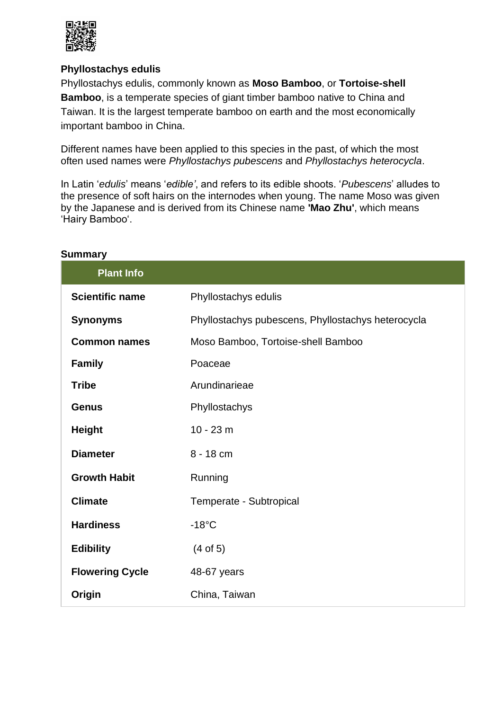

## **Phyllostachys edulis**

Phyllostachys edulis, commonly known as **Moso Bamboo**, or **Tortoise-shell Bamboo**, is a temperate species of giant timber bamboo native to China and Taiwan. It is the largest temperate bamboo on earth and the most economically important bamboo in China.

Different names have been applied to this species in the past, of which the most often used names were *Phyllostachys pubescens* and *Phyllostachys heterocycla*.

In Latin '*edulis*' means '*edible'*, and refers to its edible shoots. '*Pubescens*' alludes to the presence of soft hairs on the internodes when young. The name Moso was given by the Japanese and is derived from its Chinese name **'Mao Zhu'**, which means 'Hairy Bamboo'.

| <b>Plant Info</b>      |                                                    |
|------------------------|----------------------------------------------------|
| <b>Scientific name</b> | Phyllostachys edulis                               |
| <b>Synonyms</b>        | Phyllostachys pubescens, Phyllostachys heterocycla |
| <b>Common names</b>    | Moso Bamboo, Tortoise-shell Bamboo                 |
| <b>Family</b>          | Poaceae                                            |
| <b>Tribe</b>           | Arundinarieae                                      |
| <b>Genus</b>           | Phyllostachys                                      |
| <b>Height</b>          | $10 - 23$ m                                        |
| <b>Diameter</b>        | 8 - 18 cm                                          |
| <b>Growth Habit</b>    | Running                                            |
| <b>Climate</b>         | Temperate - Subtropical                            |
| <b>Hardiness</b>       | $-18^{\circ}$ C                                    |
| <b>Edibility</b>       | $(4$ of 5)                                         |
| <b>Flowering Cycle</b> | 48-67 years                                        |
| Origin                 | China, Taiwan                                      |

#### **Summary**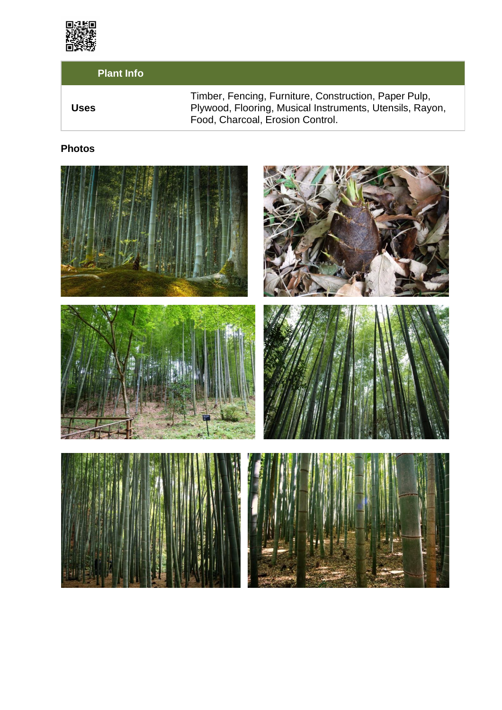

# **Plant Info**

|             | Timber, Fencing, Furniture, Construction, Paper Pulp,    |
|-------------|----------------------------------------------------------|
| <b>Uses</b> | Plywood, Flooring, Musical Instruments, Utensils, Rayon, |
|             | Food, Charcoal, Erosion Control.                         |

# **Photos**

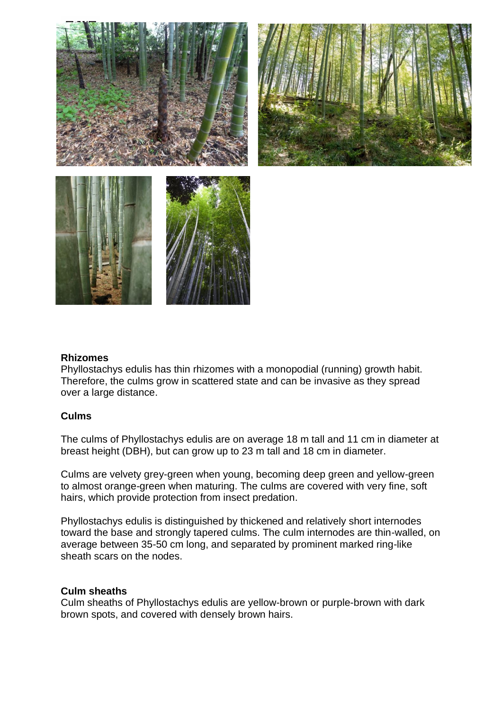

#### **Rhizomes**

Phyllostachys edulis has thin rhizomes with a monopodial (running) growth habit. Therefore, the culms grow in scattered state and can be invasive as they spread over a large distance.

#### **Culms**

The culms of Phyllostachys edulis are on average 18 m tall and 11 cm in diameter at breast height (DBH), but can grow up to 23 m tall and 18 cm in diameter.

Culms are velvety grey-green when young, becoming deep green and yellow-green to almost orange-green when maturing. The culms are covered with very fine, soft hairs, which provide protection from insect predation.

Phyllostachys edulis is distinguished by thickened and relatively short internodes toward the base and strongly tapered culms. The culm internodes are thin-walled, on average between 35-50 cm long, and separated by prominent marked ring-like sheath scars on the nodes.

#### **Culm sheaths**

Culm sheaths of Phyllostachys edulis are yellow-brown or purple-brown with dark brown spots, and covered with densely brown hairs.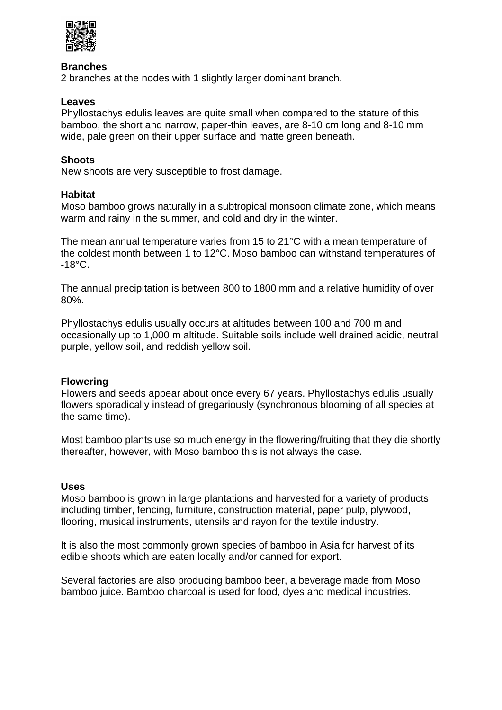

#### **Branches**

2 branches at the nodes with 1 slightly larger dominant branch.

#### **Leaves**

Phyllostachys edulis leaves are quite small when compared to the stature of this bamboo, the short and narrow, paper-thin leaves, are 8-10 cm long and 8-10 mm wide, pale green on their upper surface and matte green beneath.

#### **Shoots**

New shoots are very susceptible to frost damage.

#### **Habitat**

Moso bamboo grows naturally in a subtropical monsoon climate zone, which means warm and rainy in the summer, and cold and dry in the winter.

The mean annual temperature varies from 15 to 21°C with a mean temperature of the coldest month between 1 to 12°C. Moso bamboo can withstand temperatures of  $-18^{\circ}$ C.

The annual precipitation is between 800 to 1800 mm and a relative humidity of over 80%.

Phyllostachys edulis usually occurs at altitudes between 100 and 700 m and occasionally up to 1,000 m altitude. Suitable soils include well drained acidic, neutral purple, yellow soil, and reddish yellow soil.

#### **Flowering**

Flowers and seeds appear about once every 67 years. Phyllostachys edulis usually flowers sporadically instead of gregariously (synchronous blooming of all species at the same time).

Most bamboo plants use so much energy in the flowering/fruiting that they die shortly thereafter, however, with Moso bamboo this is not always the case.

#### **Uses**

Moso bamboo is grown in large plantations and harvested for a variety of products including timber, fencing, furniture, construction material, paper pulp, plywood, flooring, musical instruments, utensils and rayon for the textile industry.

It is also the most commonly grown species of bamboo in Asia for harvest of its edible shoots which are eaten locally and/or canned for export.

Several factories are also producing bamboo beer, a beverage made from Moso bamboo juice. Bamboo charcoal is used for food, dyes and medical industries.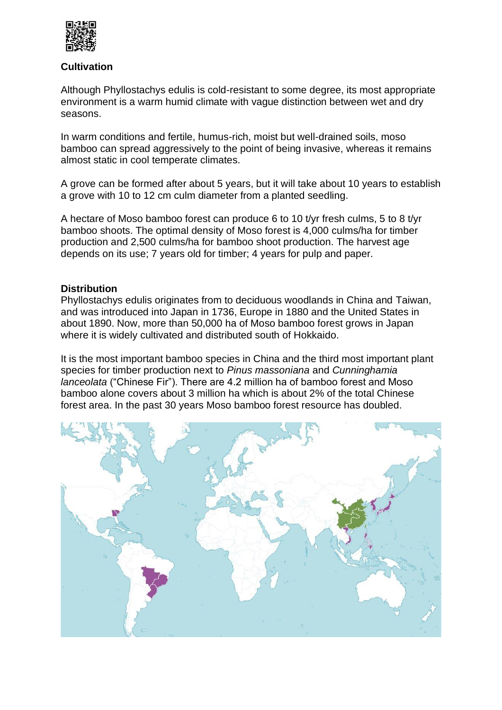

#### **Cultivation**

Although Phyllostachys edulis is cold-resistant to some degree, its most appropriate environment is a warm humid climate with vague distinction between wet and dry seasons.

In warm conditions and fertile, humus-rich, moist but well-drained soils, moso bamboo can spread aggressively to the point of being invasive, whereas it remains almost static in cool temperate climates.

A grove can be formed after about 5 years, but it will take about 10 years to establish a grove with 10 to 12 cm culm diameter from a planted seedling.

A hectare of Moso bamboo forest can produce 6 to 10 t/yr fresh culms, 5 to 8 t/yr bamboo shoots. The optimal density of Moso forest is 4,000 culms/ha for timber production and 2,500 culms/ha for bamboo shoot production. The harvest age depends on its use; 7 years old for timber; 4 years for pulp and paper.

#### **Distribution**

Phyllostachys edulis originates from to deciduous woodlands in China and Taiwan, and was introduced into Japan in 1736, Europe in 1880 and the United States in about 1890. Now, more than 50,000 ha of Moso bamboo forest grows in Japan where it is widely cultivated and distributed south of Hokkaido.

It is the most important bamboo species in China and the third most important plant species for timber production next to *Pinus massoniana* and *Cunninghamia lanceolata* ("Chinese Fir"). There are 4.2 million ha of bamboo forest and Moso bamboo alone covers about 3 million ha which is about 2% of the total Chinese forest area. In the past 30 years Moso bamboo forest resource has doubled.